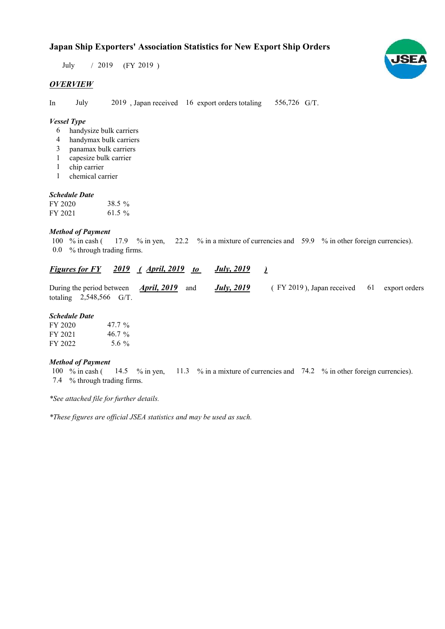# Japan Ship Exporters' Association Statistics for New Export Ship Orders

 $/ 2019$  (FY 2019) July

# **OVERVIEW**

In July 2019, Japan received 16 export orders totaling 556,726 G/T.

## Vessel Type

- handysize bulk carriers 6
- handymax bulk carriers 4
- panamax bulk carriers 3
- capesize bulk carrier 1
- 1 chip carrier
- chemical carrier 1

### Schedule Date

| FY 2020 | 38.5 % |
|---------|--------|
| FY 2021 | 61.5 % |

#### Method of Payment

% in cash ( $\frac{17.9}{8}$  % in yen,  $\frac{22.2}{8}$  % in a mixture of currencies and 59.9 % in other foreign currencies). % through trading firms. 0.0 100  $%$  in cash (

#### **Figures for FY** 2019 (April, 2019 to July, 2019 ) July, 2019

| During the period between $\triangle$ <b>pril, 2019</b> and |                           |  |  | <u>July, 2019</u> | (FY 2019), Japan received 61 export orders |  |
|-------------------------------------------------------------|---------------------------|--|--|-------------------|--------------------------------------------|--|
|                                                             | totaling $2,548,566$ G/T. |  |  |                   |                                            |  |

#### Schedule Date

| FY 2020 | 47.7 $\%$ |
|---------|-----------|
| FY 2021 | $46.7\%$  |
| FY 2022 | 5.6 $\%$  |

#### Method of Payment

% in cash ( $\frac{14.5}{8}$  % in yen,  $\frac{11.3}{8}$  % in a mixture of currencies and 74.2 % in other foreign currencies). % through trading firms. 7.4 100  $%$  in cash (

\*See attached file for further details.

\*These figures are official JSEA statistics and may be used as such.

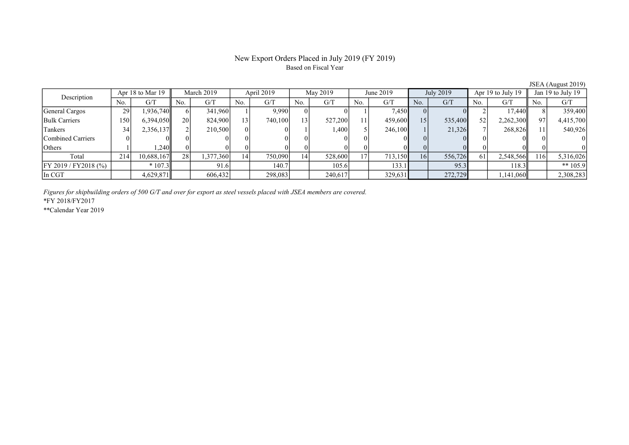# New Export Orders Placed in July 2019 (FY 2019) Based on Fiscal Year

No. | G/T || No. | G/T || No. | G/T || No. | G/T || No. | G/T || No. | G/T || No. | G/T || No. | G/T General Cargos 29 1,936,740 6 341,960 1 9,990 0 0 1 7,450 0 0 2 17,440 8 359,400 Bulk Carriers 150 6,394,050 20 824,900 13 740,100 13 527,200 11 459,600 15 535,400 52 2,262,300 97 4,415,700 Tankers 19 34 2,356,137 2 210,500 0 0 1 1,400 5 246,100 1 21,326 7 268,826 11 540,926 Combined Carriers 0 0 0 0 0 0 0 0 0 0 0 0 0 0 0 0 Others 1 1,240 0 0 0 0 0 0 0 0 0 0 0 0 0 0 Total 214 10,688,167 28 1,377,360 14 750,090 14 528,600 17 713,150 16 556,726 61 2,548,566 116 5,316,026  $\left\lceil \frac{1}{2019} / \frac{FY2018 \left( \% \right)}{FY2018 \left( \% \right)} \right\rceil \qquad \qquad \left. \ast \frac{1}{207.3} \right\rceil \qquad \qquad \left. \frac{91.6}{91.6} \right\rceil \qquad \qquad \left. \frac{140.7}{105.6} \right\rceil \qquad \qquad \frac{105.6}{133.1} \qquad \qquad \frac{133.1}{105.9} \qquad \qquad \frac{95.3}{105.9} \qquad \qquad \frac{118.3}{105.9} \qquad \qquad \$ In CGT 1,141,060 4,629,871 606,432 298,083 240,617 329,631 272,729 1,141,060 2,308,283 Description Apr 18 to Mar 19 March 2019 April 2019 May 2019<br>No. 6/T No. 6/T No. 6/T No. 6/T No. 6/T Apr 18 to Mar 19 March 2019 | April 2019 | May 2019 | June 2019 | July 2019 | Apr 19 to July 19 | Jan 19 to July 19

Figures for shipbuilding orders of 500 G/T and over for export as steel vessels placed with JSEA members are covered.

\*FY 2018/FY2017

\*\*Calendar Year 2019

JSEA (August 2019)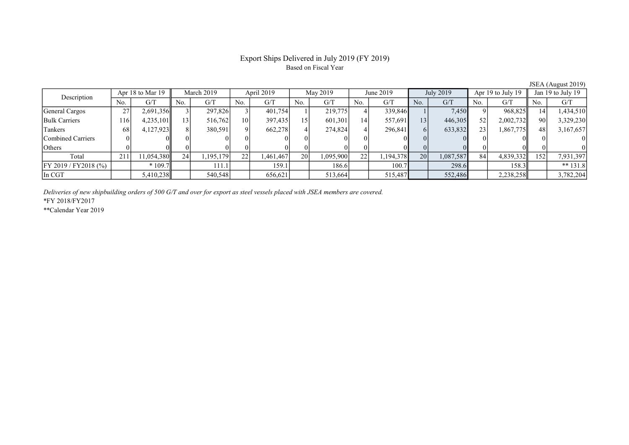# Export Ships Delivered in July 2019 (FY 2019) Based on Fiscal Year

JSEA (August 2019)

| Description           | Apr 18 to Mar 19 |            | March 2019        |           | April 2019      |           | May 2019 |           | June 2019 |           | July 2019       |           | Apr $19$ to July $19$ |           | Jan 19 to July 19 |            |
|-----------------------|------------------|------------|-------------------|-----------|-----------------|-----------|----------|-----------|-----------|-----------|-----------------|-----------|-----------------------|-----------|-------------------|------------|
|                       | No.              | G/T        | No.               | G/T       | No.             | G/T       | No.      | G/T       | No.       | G/T       | No.             | G/T       | No.                   | G/T       | No.               | G/T        |
| General Cargos        | 27               | 2,691,356  |                   | 297,826   |                 | 401,754   |          | 219,775   |           | 339,846   |                 | 7,450     |                       | 968,825   | 14                | 1,434,510  |
| <b>Bulk Carriers</b>  | 116'             | 4,235,101  | 131               | 516,762   | 10 <sub>1</sub> | 397,435   |          | 601,301   | 14.       | 557,691   | 13 <sub>1</sub> | 446,305   | 52                    | 2,002,732 | 90                | 3,329,230  |
| Tankers               | 68               | 4,127,923  |                   | 380,591   |                 | 662,278   |          | 274,824   |           | 296,841   |                 | 633,832   | 23                    | 1,867,775 | 48                | 3,167,657  |
| Combined Carriers     |                  |            | $^{\prime\prime}$ |           |                 |           |          |           |           |           |                 |           |                       |           |                   |            |
| <b>Others</b>         |                  |            |                   |           |                 |           |          |           |           |           |                 |           |                       |           |                   |            |
| Total                 | 211              | 11,054,380 | 24                | 1,195,179 | 22              | 1,461,467 | 20       | 1,095,900 | 22        | 1,194,378 | 20              | 1,087,587 | 84                    | 4,839,332 | 152               | 7,931,397  |
| FY 2019 / FY 2018 (%) |                  | $*109.7$   |                   | 111.1     |                 | 159.1     |          | 186.6     |           | 100.7     |                 | 298.6     |                       | 158.3     |                   | ** $131.8$ |
| In CGT                |                  | 5,410,238  |                   | 540,548   |                 | 656,621   |          | 513,664   |           | 515,487   |                 | 552,486   |                       | 2,238,258 |                   | 3,782,204  |

Deliveries of new shipbuilding orders of 500 G/T and over for export as steel vessels placed with JSEA members are covered.

\*FY 2018/FY2017

\*\*Calendar Year 2019